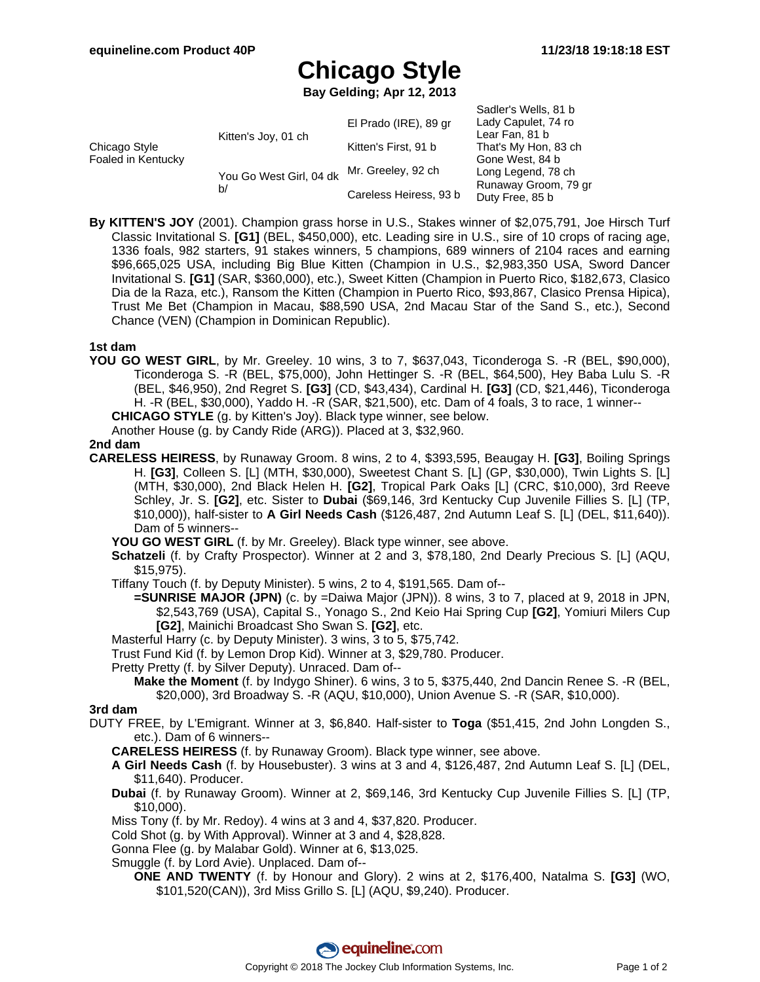Sadler's Wells, 81 b

# **Chicago Style**

**Bay Gelding; Apr 12, 2013**

|                                     |                               | El Prado (IRE), 89 gr  | Saulei's Wells, of D<br>Lady Capulet, 74 ro |
|-------------------------------------|-------------------------------|------------------------|---------------------------------------------|
| Chicago Style<br>Foaled in Kentucky | Kitten's Joy, 01 ch           |                        | Lear Fan, 81 b                              |
|                                     |                               | Kitten's First, 91 b   | That's My Hon, 83 ch                        |
|                                     | You Go West Girl, 04 dk<br>b/ | Mr. Greeley, 92 ch     | Gone West, 84 b                             |
|                                     |                               |                        | Long Legend, 78 ch                          |
|                                     |                               | Careless Heiress, 93 b | Runaway Groom, 79 gr<br>Duty Free, 85 b     |

**By KITTEN'S JOY** (2001). Champion grass horse in U.S., Stakes winner of \$2,075,791, Joe Hirsch Turf Classic Invitational S. **[G1]** (BEL, \$450,000), etc. Leading sire in U.S., sire of 10 crops of racing age, 1336 foals, 982 starters, 91 stakes winners, 5 champions, 689 winners of 2104 races and earning \$96,665,025 USA, including Big Blue Kitten (Champion in U.S., \$2,983,350 USA, Sword Dancer Invitational S. **[G1]** (SAR, \$360,000), etc.), Sweet Kitten (Champion in Puerto Rico, \$182,673, Clasico Dia de la Raza, etc.), Ransom the Kitten (Champion in Puerto Rico, \$93,867, Clasico Prensa Hipica), Trust Me Bet (Champion in Macau, \$88,590 USA, 2nd Macau Star of the Sand S., etc.), Second Chance (VEN) (Champion in Dominican Republic).

#### **1st dam**

**YOU GO WEST GIRL**, by Mr. Greeley. 10 wins, 3 to 7, \$637,043, Ticonderoga S. -R (BEL, \$90,000), Ticonderoga S. -R (BEL, \$75,000), John Hettinger S. -R (BEL, \$64,500), Hey Baba Lulu S. -R (BEL, \$46,950), 2nd Regret S. **[G3]** (CD, \$43,434), Cardinal H. **[G3]** (CD, \$21,446), Ticonderoga H. -R (BEL, \$30,000), Yaddo H. -R (SAR, \$21,500), etc. Dam of 4 foals, 3 to race, 1 winner--

**CHICAGO STYLE** (g. by Kitten's Joy). Black type winner, see below.

Another House (g. by Candy Ride (ARG)). Placed at 3, \$32,960.

#### **2nd dam**

- **CARELESS HEIRESS**, by Runaway Groom. 8 wins, 2 to 4, \$393,595, Beaugay H. **[G3]**, Boiling Springs H. **[G3]**, Colleen S. [L] (MTH, \$30,000), Sweetest Chant S. [L] (GP, \$30,000), Twin Lights S. [L] (MTH, \$30,000), 2nd Black Helen H. **[G2]**, Tropical Park Oaks [L] (CRC, \$10,000), 3rd Reeve Schley, Jr. S. **[G2]**, etc. Sister to **Dubai** (\$69,146, 3rd Kentucky Cup Juvenile Fillies S. [L] (TP, \$10,000)), half-sister to **A Girl Needs Cash** (\$126,487, 2nd Autumn Leaf S. [L] (DEL, \$11,640)). Dam of 5 winners--
	- **YOU GO WEST GIRL** (f. by Mr. Greeley). Black type winner, see above.
	- **Schatzeli** (f. by Crafty Prospector). Winner at 2 and 3, \$78,180, 2nd Dearly Precious S. [L] (AQU, \$15,975).
	- Tiffany Touch (f. by Deputy Minister). 5 wins, 2 to 4, \$191,565. Dam of--
		- **=SUNRISE MAJOR (JPN)** (c. by =Daiwa Major (JPN)). 8 wins, 3 to 7, placed at 9, 2018 in JPN, \$2,543,769 (USA), Capital S., Yonago S., 2nd Keio Hai Spring Cup **[G2]**, Yomiuri Milers Cup **[G2]**, Mainichi Broadcast Sho Swan S. **[G2]**, etc.
	- Masterful Harry (c. by Deputy Minister). 3 wins, 3 to 5, \$75,742.
	- Trust Fund Kid (f. by Lemon Drop Kid). Winner at 3, \$29,780. Producer.
	- Pretty Pretty (f. by Silver Deputy). Unraced. Dam of--
		- **Make the Moment** (f. by Indygo Shiner). 6 wins, 3 to 5, \$375,440, 2nd Dancin Renee S. -R (BEL, \$20,000), 3rd Broadway S. -R (AQU, \$10,000), Union Avenue S. -R (SAR, \$10,000).

#### **3rd dam**

- DUTY FREE, by L'Emigrant. Winner at 3, \$6,840. Half-sister to **Toga** (\$51,415, 2nd John Longden S., etc.). Dam of 6 winners--
	- **CARELESS HEIRESS** (f. by Runaway Groom). Black type winner, see above.
	- **A Girl Needs Cash** (f. by Housebuster). 3 wins at 3 and 4, \$126,487, 2nd Autumn Leaf S. [L] (DEL, \$11,640). Producer.
	- **Dubai** (f. by Runaway Groom). Winner at 2, \$69,146, 3rd Kentucky Cup Juvenile Fillies S. [L] (TP, \$10,000).
	- Miss Tony (f. by Mr. Redoy). 4 wins at 3 and 4, \$37,820. Producer.
	- Cold Shot (g. by With Approval). Winner at 3 and 4, \$28,828.
	- Gonna Flee (g. by Malabar Gold). Winner at 6, \$13,025.
	- Smuggle (f. by Lord Avie). Unplaced. Dam of--
		- **ONE AND TWENTY** (f. by Honour and Glory). 2 wins at 2, \$176,400, Natalma S. **[G3]** (WO, \$101,520(CAN)), 3rd Miss Grillo S. [L] (AQU, \$9,240). Producer.